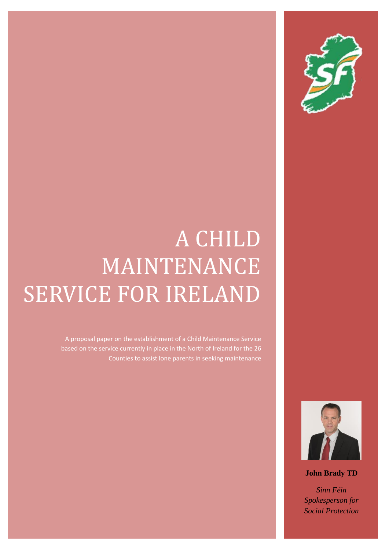

# A CHILD MAINTENANCE SERVICE FOR IRELAND

A proposal paper on the establishment of a Child Maintenance Service based on the service currently in place in the North of Ireland for the 26 Counties to assist lone parents in seeking maintenance



**John Brady TD**

*Sinn Féin Spokesperson for Social Protection*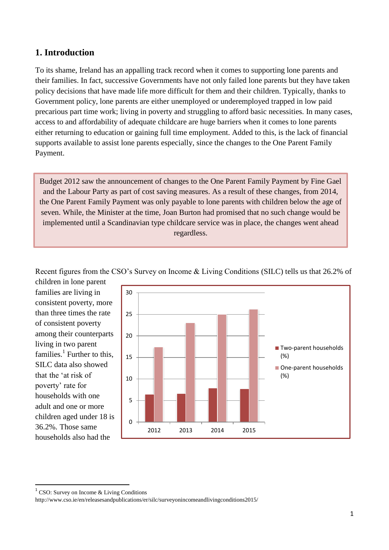#### **1. Introduction**

To its shame, Ireland has an appalling track record when it comes to supporting lone parents and their families. In fact, successive Governments have not only failed lone parents but they have taken policy decisions that have made life more difficult for them and their children. Typically, thanks to Government policy, lone parents are either unemployed or underemployed trapped in low paid precarious part time work; living in poverty and struggling to afford basic necessities. In many cases, access to and affordability of adequate childcare are huge barriers when it comes to lone parents either returning to education or gaining full time employment. Added to this, is the lack of financial supports available to assist lone parents especially, since the changes to the One Parent Family Payment.

Budget 2012 saw the announcement of changes to the One Parent Family Payment by Fine Gael and the Labour Party as part of cost saving measures. As a result of these changes, from 2014, the One Parent Family Payment was only payable to lone parents with children below the age of seven. While, the Minister at the time, Joan Burton had promised that no such change would be implemented until a Scandinavian type childcare service was in place, the changes went ahead regardless.

Recent figures from the CSO's Survey on Income & Living Conditions (SILC) tells us that 26.2% of

children in lone parent families are living in consistent poverty, more than three times the rate of consistent poverty among their counterparts living in two parent families. $<sup>1</sup>$  Further to this,</sup> SILC data also showed that the 'at risk of poverty' rate for households with one adult and one or more children aged under 18 is 36.2%. Those same households also had the



1

<sup>&</sup>lt;sup>1</sup> CSO: Survey on Income & Living Conditions

http://www.cso.ie/en/releasesandpublications/er/silc/surveyonincomeandlivingconditions2015/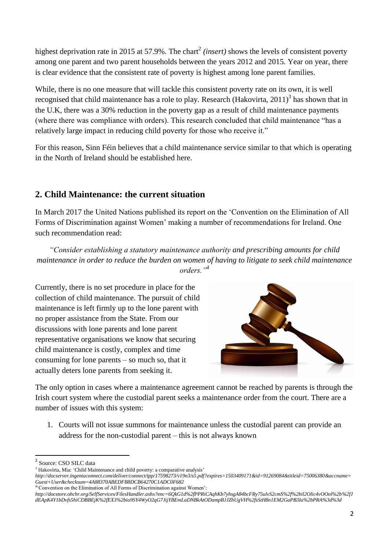highest deprivation rate in 2015 at 57.9%. The chart<sup>2</sup> (insert) shows the levels of consistent poverty among one parent and two parent households between the years 2012 and 2015. Year on year, there is clear evidence that the consistent rate of poverty is highest among lone parent families.

While, there is no one measure that will tackle this consistent poverty rate on its own, it is well recognised that child maintenance has a role to play. Research (Hakovirta, 2011)<sup>3</sup> has shown that in the U.K, there was a 30% reduction in the poverty gap as a result of child maintenance payments (where there was compliance with orders). This research concluded that child maintenance "has a relatively large impact in reducing child poverty for those who receive it."

For this reason, Sinn Féin believes that a child maintenance service similar to that which is operating in the North of Ireland should be established here.

### **2. Child Maintenance: the current situation**

In March 2017 the United Nations published its report on the 'Convention on the Elimination of All Forms of Discrimination against Women' making a number of recommendations for Ireland. One such recommendation read:

*"Consider establishing a statutory maintenance authority and prescribing amounts for child maintenance in order to reduce the burden on women of having to litigate to seek child maintenance orders."<sup>4</sup>*

Currently, there is no set procedure in place for the collection of child maintenance. The pursuit of child maintenance is left firmly up to the lone parent with no proper assistance from the State. From our discussions with lone parents and lone parent representative organisations we know that securing child maintenance is costly, complex and time consuming for lone parents – so much so, that it actually deters lone parents from seeking it.



The only option in cases where a maintenance agreement cannot be reached by parents is through the Irish court system where the custodial parent seeks a maintenance order from the court. There are a number of issues with this system:

1. Courts will not issue summons for maintenance unless the custodial parent can provide an address for the non-custodial parent – this is not always known

 2 Source: CSO SILC data

<sup>&</sup>lt;sup>3</sup> Hakovirta, Mia: 'Child Maintenance and child poverty: a comparative analysis'

*http://docserver.ingentaconnect.com/deliver/connect/tpp/17598273/v19n3/s5.pdf?expires=1503409171&id=91269084&titleid=75006380&accname= Guest+User&checksum=4A88370ABEDFB8DCB64270C1ADC0F682* 4 'Convention on the Elimination of All Forms of Discrimination against Women':

*http://docstore.ohchr.org/SelfServices/FilesHandler.ashx?enc=6QkG1d%2fPPRiCAqhKb7yhsgA84bcFRy75ulvS2cmS%2f%2bil2Olic4vOOol%2b%2fJ dEApK4Y1bDvfs5hiCDBBEjK%2fEX3%2bio9SY4WyO2qG7JijYBEmLaDNBkAtODampBJJZhUgVH%2fsStH8n1EM2GaPB3Iu%2bPRA%3d%3d*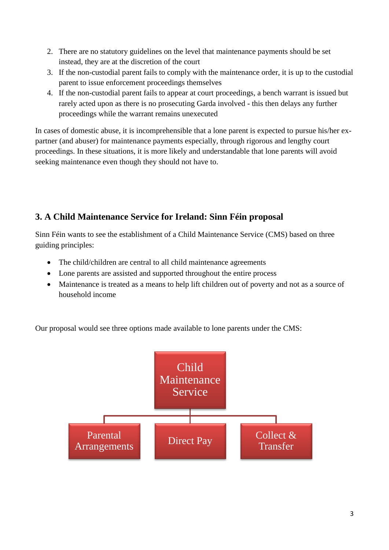- 2. There are no statutory guidelines on the level that maintenance payments should be set instead, they are at the discretion of the court
- 3. If the non-custodial parent fails to comply with the maintenance order, it is up to the custodial parent to issue enforcement proceedings themselves
- 4. If the non-custodial parent fails to appear at court proceedings, a bench warrant is issued but rarely acted upon as there is no prosecuting Garda involved - this then delays any further proceedings while the warrant remains unexecuted

In cases of domestic abuse, it is incomprehensible that a lone parent is expected to pursue his/her expartner (and abuser) for maintenance payments especially, through rigorous and lengthy court proceedings. In these situations, it is more likely and understandable that lone parents will avoid seeking maintenance even though they should not have to.

## **3. A Child Maintenance Service for Ireland: Sinn Féin proposal**

Sinn Féin wants to see the establishment of a Child Maintenance Service (CMS) based on three guiding principles:

- The child/children are central to all child maintenance agreements
- Lone parents are assisted and supported throughout the entire process
- Maintenance is treated as a means to help lift children out of poverty and not as a source of household income

Our proposal would see three options made available to lone parents under the CMS:

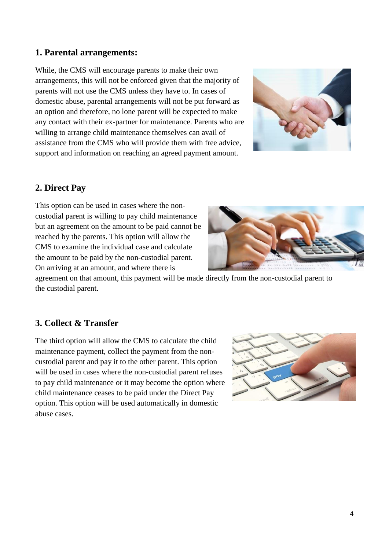#### **1. Parental arrangements:**

While, the CMS will encourage parents to make their own arrangements, this will not be enforced given that the majority of parents will not use the CMS unless they have to. In cases of domestic abuse, parental arrangements will not be put forward as an option and therefore, no lone parent will be expected to make any contact with their ex-partner for maintenance. Parents who are willing to arrange child maintenance themselves can avail of assistance from the CMS who will provide them with free advice, support and information on reaching an agreed payment amount.



### **2. Direct Pay**

This option can be used in cases where the noncustodial parent is willing to pay child maintenance but an agreement on the amount to be paid cannot be reached by the parents. This option will allow the CMS to examine the individual case and calculate the amount to be paid by the non-custodial parent. On arriving at an amount, and where there is



agreement on that amount, this payment will be made directly from the non-custodial parent to the custodial parent.

#### **3. Collect & Transfer**

The third option will allow the CMS to calculate the child maintenance payment, collect the payment from the noncustodial parent and pay it to the other parent. This option will be used in cases where the non-custodial parent refuses to pay child maintenance or it may become the option where child maintenance ceases to be paid under the Direct Pay option. This option will be used automatically in domestic abuse cases.

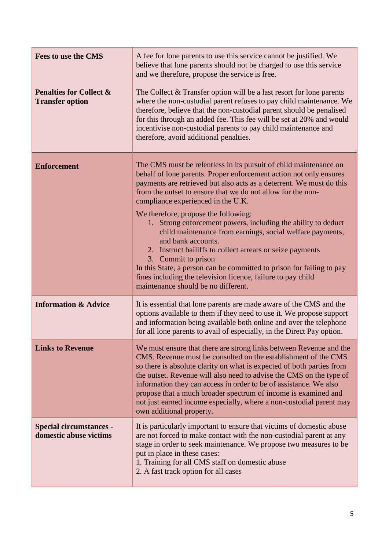| <b>Fees to use the CMS</b>                                   | A fee for lone parents to use this service cannot be justified. We<br>believe that lone parents should not be charged to use this service<br>and we therefore, propose the service is free.                                                                                                                                                                                                                                                                                                                                                                                                                                                                                                                                                                                          |
|--------------------------------------------------------------|--------------------------------------------------------------------------------------------------------------------------------------------------------------------------------------------------------------------------------------------------------------------------------------------------------------------------------------------------------------------------------------------------------------------------------------------------------------------------------------------------------------------------------------------------------------------------------------------------------------------------------------------------------------------------------------------------------------------------------------------------------------------------------------|
| <b>Penalties for Collect &amp;</b><br><b>Transfer option</b> | The Collect & Transfer option will be a last resort for lone parents<br>where the non-custodial parent refuses to pay child maintenance. We<br>therefore, believe that the non-custodial parent should be penalised<br>for this through an added fee. This fee will be set at 20% and would<br>incentivise non-custodial parents to pay child maintenance and<br>therefore, avoid additional penalties.                                                                                                                                                                                                                                                                                                                                                                              |
| <b>Enforcement</b>                                           | The CMS must be relentless in its pursuit of child maintenance on<br>behalf of lone parents. Proper enforcement action not only ensures<br>payments are retrieved but also acts as a deterrent. We must do this<br>from the outset to ensure that we do not allow for the non-<br>compliance experienced in the U.K.<br>We therefore, propose the following:<br>1. Strong enforcement powers, including the ability to deduct<br>child maintenance from earnings, social welfare payments,<br>and bank accounts.<br>2. Instruct bailiffs to collect arrears or seize payments<br>3. Commit to prison<br>In this State, a person can be committed to prison for failing to pay<br>fines including the television licence, failure to pay child<br>maintenance should be no different. |
| <b>Information &amp; Advice</b>                              | It is essential that lone parents are made aware of the CMS and the<br>options available to them if they need to use it. We propose support<br>and information being available both online and over the telephone<br>for all lone parents to avail of especially, in the Direct Pay option.                                                                                                                                                                                                                                                                                                                                                                                                                                                                                          |
| <b>Links to Revenue</b>                                      | We must ensure that there are strong links between Revenue and the<br>CMS. Revenue must be consulted on the establishment of the CMS<br>so there is absolute clarity on what is expected of both parties from<br>the outset. Revenue will also need to advise the CMS on the type of<br>information they can access in order to be of assistance. We also<br>propose that a much broader spectrum of income is examined and<br>not just earned income especially, where a non-custodial parent may<br>own additional property.                                                                                                                                                                                                                                                       |
| <b>Special circumstances -</b><br>domestic abuse victims     | It is particularly important to ensure that victims of domestic abuse<br>are not forced to make contact with the non-custodial parent at any<br>stage in order to seek maintenance. We propose two measures to be<br>put in place in these cases:<br>1. Training for all CMS staff on domestic abuse<br>2. A fast track option for all cases                                                                                                                                                                                                                                                                                                                                                                                                                                         |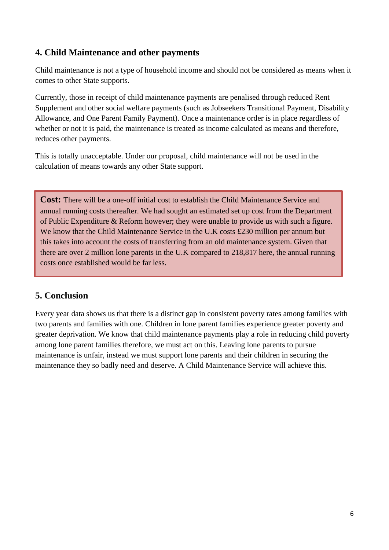### **4. Child Maintenance and other payments**

Child maintenance is not a type of household income and should not be considered as means when it comes to other State supports.

Currently, those in receipt of child maintenance payments are penalised through reduced Rent Supplement and other social welfare payments (such as Jobseekers Transitional Payment, Disability Allowance, and One Parent Family Payment). Once a maintenance order is in place regardless of whether or not it is paid, the maintenance is treated as income calculated as means and therefore, reduces other payments.

This is totally unacceptable. Under our proposal, child maintenance will not be used in the calculation of means towards any other State support.

**Cost:** There will be a one-off initial cost to establish the Child Maintenance Service and annual running costs thereafter. We had sought an estimated set up cost from the Department of Public Expenditure & Reform however; they were unable to provide us with such a figure. We know that the Child Maintenance Service in the U.K costs £230 million per annum but this takes into account the costs of transferring from an old maintenance system. Given that there are over 2 million lone parents in the U.K compared to 218,817 here, the annual running costs once established would be far less.

#### **5. Conclusion**

Every year data shows us that there is a distinct gap in consistent poverty rates among families with two parents and families with one. Children in lone parent families experience greater poverty and greater deprivation. We know that child maintenance payments play a role in reducing child poverty among lone parent families therefore, we must act on this. Leaving lone parents to pursue maintenance is unfair, instead we must support lone parents and their children in securing the maintenance they so badly need and deserve. A Child Maintenance Service will achieve this.